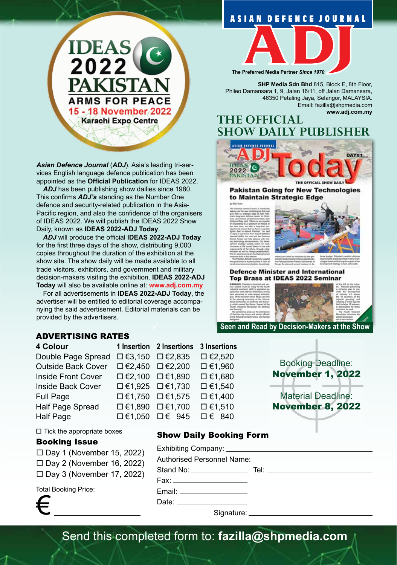## **ASIAN DEFENCE JOURNAL**



*Asian Defence Journal* (*ADJ*), Asia's leading tri-services English language defence publication has been appointed as the **Official Publication** for IDEAS 2022.

ADJ has been publishing show dailies since 1980. This confirms *ADJ's* standing as the Number One defence and security-related publication in the Asia-Pacific region, and also the confidence of the organisers of IDEAS 2022. We will publish the IDEAS 2022 Show Daily, known as **IDEAS 2022-ADJ Today**.

*ADJ* will produce the official **IDEAS 2022-ADJ Today**  for the first three days of the show, distributing 9,000 copies throughout the duration of the exhibition at the show site. The show daily will be made available to all trade visitors, exhibitors, and government and military decision-makers visiting the exhibition. **IDEAS 2022-ADJ Today** will also be available online at: **www.adj.com.my**

For all advertisements in **IDEAS 2022-ADJ Today**, the advertiser will be entitled to editorial coverage accompanying the said advertisement. Editorial materials can be provided by the advertisers.

## ADVERTISING RATES

| 4 Colour |  |
|----------|--|
|          |  |

Double Page Spread  $\Box$  €3,150  $\Box$  €2,835  $\Box$  €2,520 Outside Back Cover  $\Box$  €2,450  $\Box$  €2,200  $\Box$  €1,960 Inside Front Cover  $\Box \in 2,100$   $\Box \in 1,890$   $\Box \in 1,680$ Inside Back Cover  $\Box$  €1,925  $\Box$  €1,730  $\Box$  €1,540 Full Page  $\square \in 1,750$   $\square \in 1,575$   $\square \in 1,400$ Half Page Spread  $\Box$  €1,890  $\Box$  €1,700  $\Box$  €1,510 Half Page  $\Box$  €1,050  $\Box$  € 945  $\Box$  € 840



Show Daily Booking Form

Exhibiting Company:

Fax: Email:



November 8, 2022

 $\square$  Tick the appropriate boxes

### Booking Issue

- $\Box$  Day 1 (November 15, 2022)
- $\Box$  Day 2 (November 16, 2022)
- $\Box$  Day 3 (November 17, 2022)

Total Booking Price:



Date: \_\_\_\_\_\_\_\_\_\_ Signature:

Stand No: Tel:

Send this completed form to: **fazilla@shpmedia.com**



**The Preferred Media Partner** *Since 1970*

**SHP Media Sdn Bhd** 815, Block E, 8th Floor, Phileo Damansara 1, 9, Jalan 16/11, off Jalan Damansara, 46350 Petaling Jaya, Selangor, MALAYSIA. Email: fazilla@shpmedia.com **www.adj.com.my**

## **THE OFFICIAL SHOW DAILY PUBLISHER**



**Pakistan Going for New Technologies** to Maintain Strategic Edge



#### **Defence Minister and International** Top Brass at IDEAS 2022 Seminar



Authorised Personnel Name: